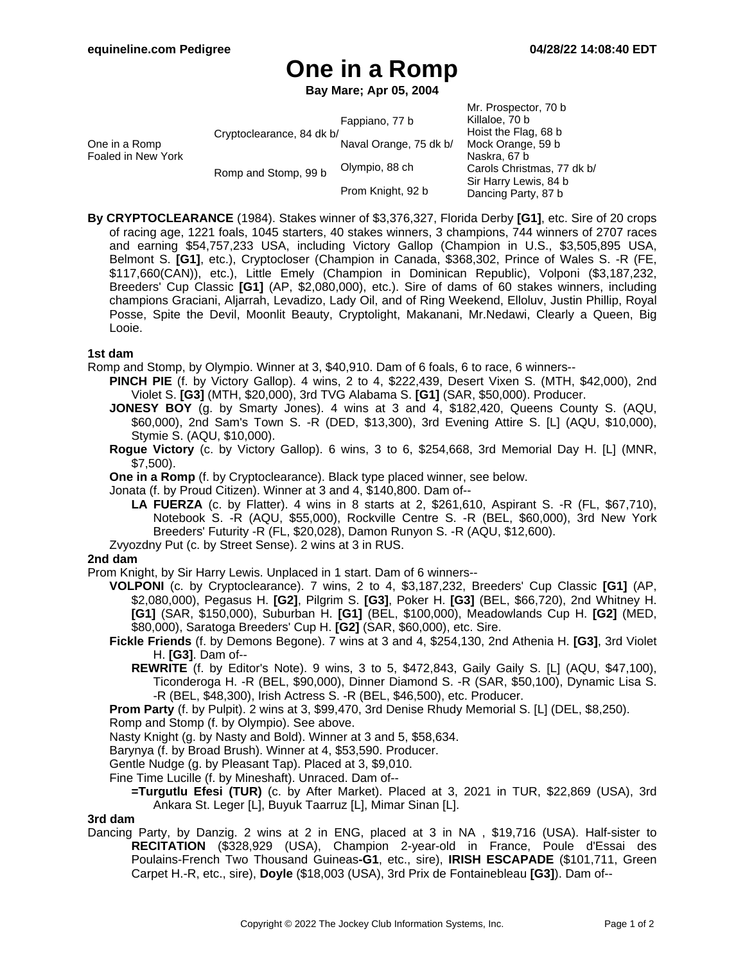# **One in a Romp**

**Bay Mare; Apr 05, 2004**

| One in a Romp<br>Foaled in New York | Cryptoclearance, 84 dk b/<br>Romp and Stomp, 99 b | Fappiano, 77 b<br>Naval Orange, 75 dk b/<br>Olympio, 88 ch<br>Prom Knight, 92 b | Mr. Prospector, 70 b<br>Killaloe, 70 b<br>Hoist the Flag, 68 b<br>Mock Orange, 59 b<br>Naskra, 67 b<br>Carols Christmas, 77 dk b/<br>Sir Harry Lewis, 84 b<br>Dancing Party, 87 b |
|-------------------------------------|---------------------------------------------------|---------------------------------------------------------------------------------|-----------------------------------------------------------------------------------------------------------------------------------------------------------------------------------|
|                                     |                                                   |                                                                                 |                                                                                                                                                                                   |

**By CRYPTOCLEARANCE** (1984). Stakes winner of \$3,376,327, Florida Derby **[G1]**, etc. Sire of 20 crops of racing age, 1221 foals, 1045 starters, 40 stakes winners, 3 champions, 744 winners of 2707 races and earning \$54,757,233 USA, including Victory Gallop (Champion in U.S., \$3,505,895 USA, Belmont S. **[G1]**, etc.), Cryptocloser (Champion in Canada, \$368,302, Prince of Wales S. -R (FE, \$117,660(CAN)), etc.), Little Emely (Champion in Dominican Republic), Volponi (\$3,187,232, Breeders' Cup Classic **[G1]** (AP, \$2,080,000), etc.). Sire of dams of 60 stakes winners, including champions Graciani, Aljarrah, Levadizo, Lady Oil, and of Ring Weekend, Elloluv, Justin Phillip, Royal Posse, Spite the Devil, Moonlit Beauty, Cryptolight, Makanani, Mr.Nedawi, Clearly a Queen, Big Looie.

## **1st dam**

Romp and Stomp, by Olympio. Winner at 3, \$40,910. Dam of 6 foals, 6 to race, 6 winners--

- **PINCH PIE** (f. by Victory Gallop). 4 wins, 2 to 4, \$222,439, Desert Vixen S. (MTH, \$42,000), 2nd Violet S. **[G3]** (MTH, \$20,000), 3rd TVG Alabama S. **[G1]** (SAR, \$50,000). Producer.
- **JONESY BOY** (g. by Smarty Jones). 4 wins at 3 and 4, \$182,420, Queens County S. (AQU, \$60,000), 2nd Sam's Town S. -R (DED, \$13,300), 3rd Evening Attire S. [L] (AQU, \$10,000), Stymie S. (AQU, \$10,000).
- **Rogue Victory** (c. by Victory Gallop). 6 wins, 3 to 6, \$254,668, 3rd Memorial Day H. [L] (MNR, \$7,500).
- **One in a Romp** (f. by Cryptoclearance). Black type placed winner, see below.
- Jonata (f. by Proud Citizen). Winner at 3 and 4, \$140,800. Dam of--
	- **LA FUERZA** (c. by Flatter). 4 wins in 8 starts at 2, \$261,610, Aspirant S. -R (FL, \$67,710), Notebook S. -R (AQU, \$55,000), Rockville Centre S. -R (BEL, \$60,000), 3rd New York Breeders' Futurity -R (FL, \$20,028), Damon Runyon S. -R (AQU, \$12,600).
- Zvyozdny Put (c. by Street Sense). 2 wins at 3 in RUS.

## **2nd dam**

- Prom Knight, by Sir Harry Lewis. Unplaced in 1 start. Dam of 6 winners--
	- **VOLPONI** (c. by Cryptoclearance). 7 wins, 2 to 4, \$3,187,232, Breeders' Cup Classic **[G1]** (AP, \$2,080,000), Pegasus H. **[G2]**, Pilgrim S. **[G3]**, Poker H. **[G3]** (BEL, \$66,720), 2nd Whitney H. **[G1]** (SAR, \$150,000), Suburban H. **[G1]** (BEL, \$100,000), Meadowlands Cup H. **[G2]** (MED, \$80,000), Saratoga Breeders' Cup H. **[G2]** (SAR, \$60,000), etc. Sire.
	- **Fickle Friends** (f. by Demons Begone). 7 wins at 3 and 4, \$254,130, 2nd Athenia H. **[G3]**, 3rd Violet H. **[G3]**. Dam of--
		- **REWRITE** (f. by Editor's Note). 9 wins, 3 to 5, \$472,843, Gaily Gaily S. [L] (AQU, \$47,100), Ticonderoga H. -R (BEL, \$90,000), Dinner Diamond S. -R (SAR, \$50,100), Dynamic Lisa S. -R (BEL, \$48,300), Irish Actress S. -R (BEL, \$46,500), etc. Producer.
	- **Prom Party** (f. by Pulpit). 2 wins at 3, \$99,470, 3rd Denise Rhudy Memorial S. [L] (DEL, \$8,250).
	- Romp and Stomp (f. by Olympio). See above.
	- Nasty Knight (g. by Nasty and Bold). Winner at 3 and 5, \$58,634.
	- Barynya (f. by Broad Brush). Winner at 4, \$53,590. Producer.
	- Gentle Nudge (g. by Pleasant Tap). Placed at 3, \$9,010.
	- Fine Time Lucille (f. by Mineshaft). Unraced. Dam of--
		- **=Turgutlu Efesi (TUR)** (c. by After Market). Placed at 3, 2021 in TUR, \$22,869 (USA), 3rd Ankara St. Leger [L], Buyuk Taarruz [L], Mimar Sinan [L].

#### **3rd dam**

Dancing Party, by Danzig. 2 wins at 2 in ENG, placed at 3 in NA , \$19,716 (USA). Half-sister to **RECITATION** (\$328,929 (USA), Champion 2-year-old in France, Poule d'Essai des Poulains-French Two Thousand Guineas**-G1**, etc., sire), **IRISH ESCAPADE** (\$101,711, Green Carpet H.-R, etc., sire), **Doyle** (\$18,003 (USA), 3rd Prix de Fontainebleau **[G3]**). Dam of--